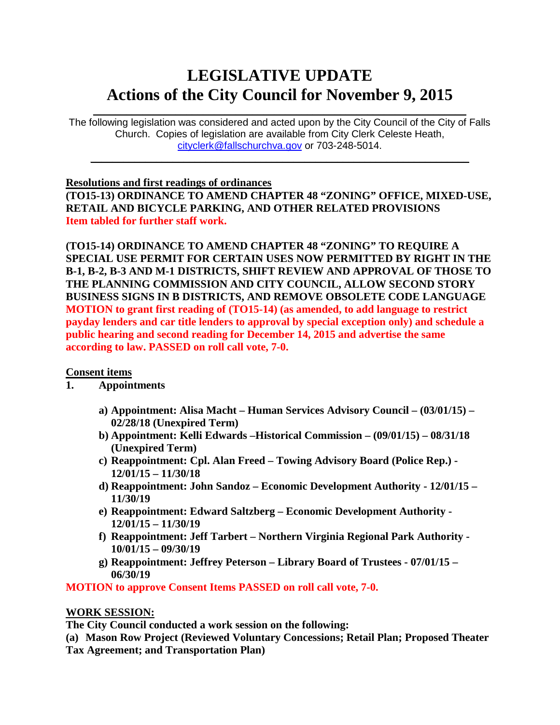# **LEGISLATIVE UPDATE Actions of the City Council for November 9, 2015**

 $\mathcal{L}_\text{max}$  and  $\mathcal{L}_\text{max}$  and  $\mathcal{L}_\text{max}$  and  $\mathcal{L}_\text{max}$  and  $\mathcal{L}_\text{max}$  and  $\mathcal{L}_\text{max}$ The following legislation was considered and acted upon by the City Council of the City of Falls Church. Copies of legislation are available from City Clerk Celeste Heath, [cityclerk@fallschurchva.gov](mailto:cityclerk@fallschurchva.gov) or 703-248-5014.

 $\mathcal{L}_\text{max}$  and  $\mathcal{L}_\text{max}$  and  $\mathcal{L}_\text{max}$  and  $\mathcal{L}_\text{max}$  and  $\mathcal{L}_\text{max}$  and  $\mathcal{L}_\text{max}$ 

#### **Resolutions and first readings of ordinances**

**(TO15-13) ORDINANCE TO AMEND CHAPTER 48 "ZONING" OFFICE, MIXED-USE, RETAIL AND BICYCLE PARKING, AND OTHER RELATED PROVISIONS Item tabled for further staff work.**

**(TO15-14) ORDINANCE TO AMEND CHAPTER 48 "ZONING" TO REQUIRE A SPECIAL USE PERMIT FOR CERTAIN USES NOW PERMITTED BY RIGHT IN THE B-1, B-2, B-3 AND M-1 DISTRICTS, SHIFT REVIEW AND APPROVAL OF THOSE TO THE PLANNING COMMISSION AND CITY COUNCIL, ALLOW SECOND STORY BUSINESS SIGNS IN B DISTRICTS, AND REMOVE OBSOLETE CODE LANGUAGE MOTION to grant first reading of (TO15-14) (as amended, to add language to restrict payday lenders and car title lenders to approval by special exception only) and schedule a public hearing and second reading for December 14, 2015 and advertise the same according to law. PASSED on roll call vote, 7-0.**

### **Consent items**

- **1. Appointments**
	- **a) Appointment: Alisa Macht – Human Services Advisory Council – (03/01/15) – 02/28/18 (Unexpired Term)**
	- **b) Appointment: Kelli Edwards –Historical Commission – (09/01/15) – 08/31/18 (Unexpired Term)**
	- **c) Reappointment: Cpl. Alan Freed – Towing Advisory Board (Police Rep.) - 12/01/15 – 11/30/18**
	- **d) Reappointment: John Sandoz – Economic Development Authority - 12/01/15 – 11/30/19**
	- **e) Reappointment: Edward Saltzberg – Economic Development Authority - 12/01/15 – 11/30/19**
	- **f) Reappointment: Jeff Tarbert – Northern Virginia Regional Park Authority - 10/01/15 – 09/30/19**
	- **g) Reappointment: Jeffrey Peterson – Library Board of Trustees - 07/01/15 – 06/30/19**

**MOTION to approve Consent Items PASSED on roll call vote, 7-0.**

### **WORK SESSION:**

**The City Council conducted a work session on the following:**

**(a) Mason Row Project (Reviewed Voluntary Concessions; Retail Plan; Proposed Theater Tax Agreement; and Transportation Plan)**